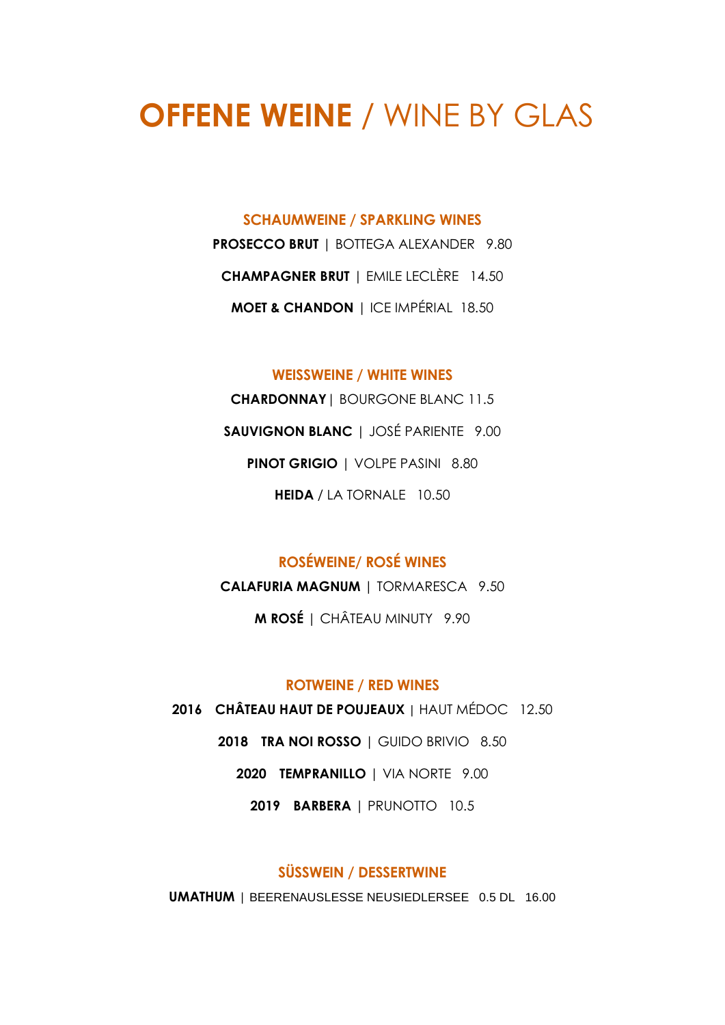# **OFFENE WEINE** / WINE BY GLAS

#### **SCHAUMWEINE / SPARKLING WINES**

**PROSECCO BRUT** | BOTTEGA ALEXANDER9.80 **CHAMPAGNER BRUT** | EMILE LECLÈRE 14.50 **MOET & CHANDON** | ICE IMPÉRIAL 18.50

#### **WEISSWEINE / WHITE WINES**

**CHARDONNAY**| BOURGONE BLANC 11.5 **SAUVIGNON BLANC** | JOSÉ PARIENTE 9.00 **PINOT GRIGIO** | VOLPE PASINI 8.80 **HEIDA** / LA TORNALE 10.50

### **ROSÉWEINE/ ROSÉ WINES**

**CALAFURIA MAGNUM** | TORMARESCA 9.50

**M ROSÉ** | CHÂTEAU MINUTY 9.90

#### **ROTWEINE / RED WINES**

 **CHÂTEAU HAUT DE POUJEAUX |** HAUT MÉDOC 12.50 **TRA NOI ROSSO** | GUIDO BRIVIO 8.50 **TEMPRANILLO** | VIA NORTE 9.00 **BARBERA** | PRUNOTTO 10.5

#### **SÜSSWEIN / DESSERTWINE**

**UMATHUM |** BEERENAUSLESSE NEUSIEDLERSEE 0.5 DL 16.00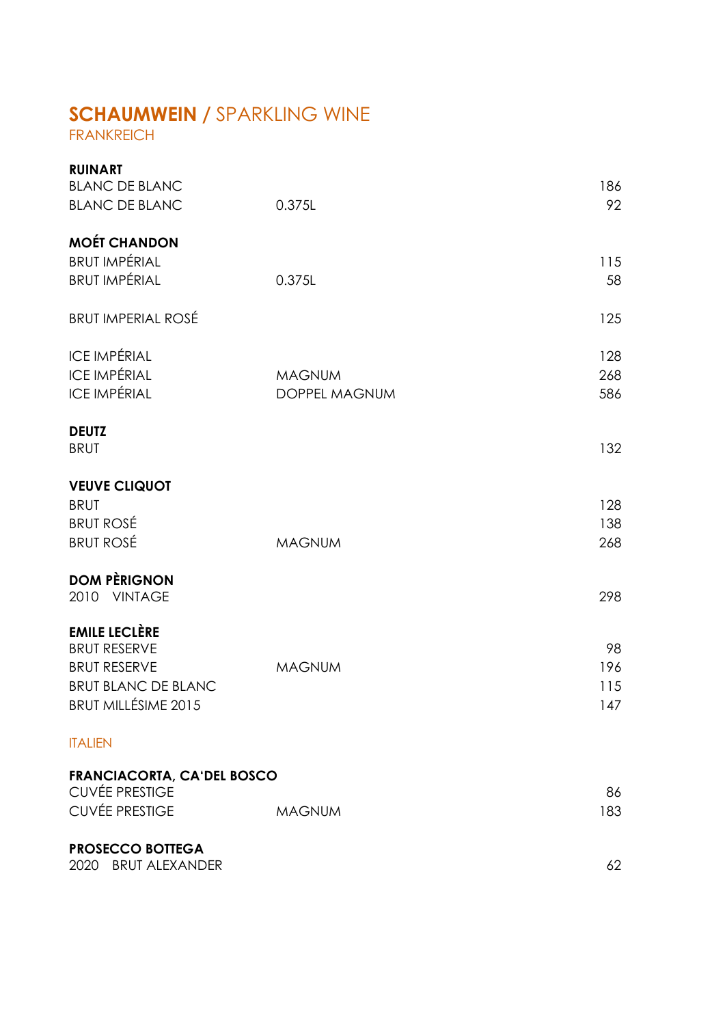# **SCHAUMWEIN /** SPARKLING WINE

FRANKREICH

| <b>RUINART</b><br><b>BLANC DE BLANC</b>                    |               | 186 |
|------------------------------------------------------------|---------------|-----|
| <b>BLANC DE BLANC</b>                                      | 0.375L        | 92  |
| <b>MOÉT CHANDON</b>                                        |               |     |
| <b>BRUT IMPÉRIAL</b>                                       |               | 115 |
| <b>BRUT IMPÉRIAL</b>                                       | 0.375L        | 58  |
| <b>BRUT IMPERIAL ROSÉ</b>                                  |               | 125 |
| <b>ICE IMPÉRIAL</b>                                        |               | 128 |
| <b>ICE IMPÉRIAL</b>                                        | <b>MAGNUM</b> | 268 |
| <b>ICE IMPÉRIAL</b>                                        | DOPPEL MAGNUM | 586 |
| <b>DEUTZ</b>                                               |               |     |
| <b>BRUT</b>                                                |               | 132 |
| <b>VEUVE CLIQUOT</b>                                       |               |     |
| <b>BRUT</b>                                                |               | 128 |
| <b>BRUT ROSÉ</b>                                           |               | 138 |
| <b>BRUT ROSÉ</b>                                           | <b>MAGNUM</b> | 268 |
| <b>DOM PÈRIGNON</b>                                        |               |     |
| 2010 VINTAGE                                               |               | 298 |
| <b>EMILE LECLÈRE</b>                                       |               |     |
| <b>BRUT RESERVE</b>                                        |               | 98  |
| <b>BRUT RESERVE</b>                                        | <b>MAGNUM</b> | 196 |
| <b>BRUT BLANC DE BLANC</b>                                 |               | 115 |
| BRUT MILLÉSIME 2015                                        |               | 147 |
| <b>ITALIEN</b>                                             |               |     |
| <b>FRANCIACORTA, CA'DEL BOSCO</b><br><b>CUVÉE PRESTIGE</b> |               | 86  |
| <b>CUVÉE PRESTIGE</b>                                      | <b>MAGNUM</b> | 183 |
|                                                            |               |     |
| <b>PROSECCO BOTTEGA</b>                                    |               |     |
| 2020 BRUT ALEXANDER                                        |               | 62  |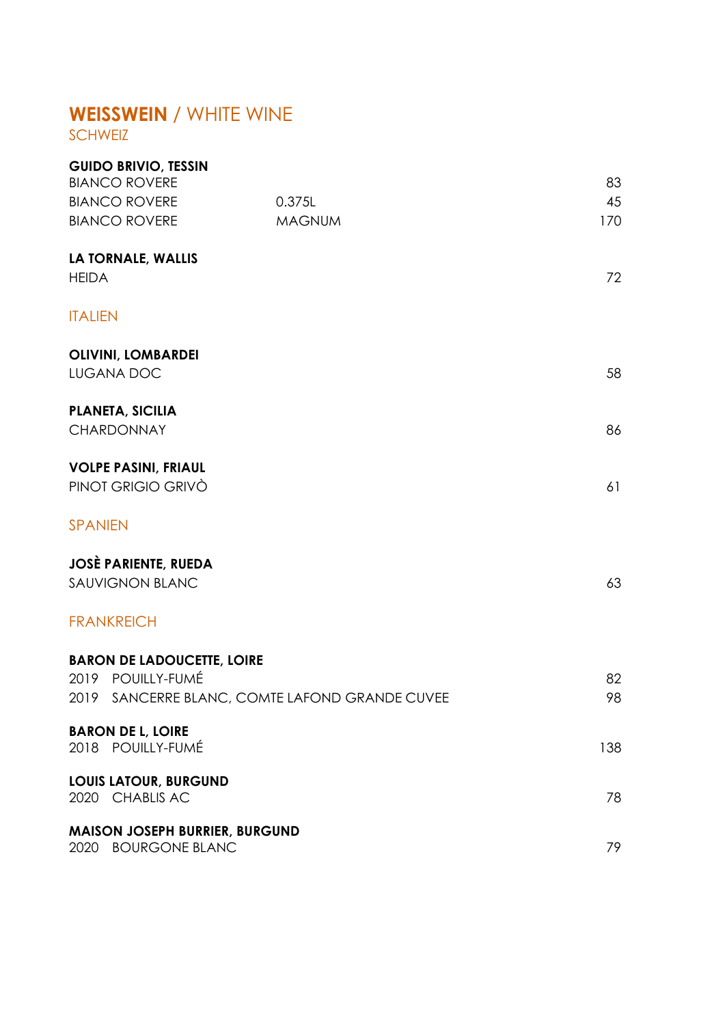# **WEISSWEIN** / WHITE WINE

SCHWEIZ

| <b>GUIDO BRIVIO, TESSIN</b><br><b>BIANCO ROVERE</b> |                                                |          |
|-----------------------------------------------------|------------------------------------------------|----------|
| <b>BIANCO ROVERE</b>                                | 0.375L                                         | 83<br>45 |
| <b>BIANCO ROVERE</b>                                | <b>MAGNUM</b>                                  | 170      |
| LA TORNALE, WALLIS<br><b>HEIDA</b>                  |                                                | 72       |
| <b>ITALIEN</b>                                      |                                                |          |
| <b>OLIVINI, LOMBARDEI</b><br>LUGANA DOC             |                                                | 58       |
| <b>PLANETA, SICILIA</b><br>CHARDONNAY               |                                                | 86       |
| <b>VOLPE PASINI, FRIAUL</b><br>PINOT GRIGIO GRIVÒ   |                                                | 61       |
| <b>SPANIEN</b>                                      |                                                |          |
| <b>JOSÈ PARIENTE, RUEDA</b>                         |                                                |          |
| <b>SAUVIGNON BLANC</b>                              |                                                | 63       |
| <b>FRANKREICH</b>                                   |                                                |          |
| <b>BARON DE LADOUCETTE, LOIRE</b>                   |                                                |          |
| 2019 POUILLY-FUMÉ                                   |                                                | 82       |
|                                                     | 2019 SANCERRE BLANC, COMTE LAFOND GRANDE CUVEE | 98       |
| <b>BARON DE L, LOIRE</b><br>2018 POUILLY-FUMÉ       |                                                | 138      |
| <b>LOUIS LATOUR, BURGUND</b><br>2020 CHABLIS AC     |                                                | 78       |
| 2020 BOURGONE BLANC                                 | <b>MAISON JOSEPH BURRIER, BURGUND</b>          | 79       |
|                                                     |                                                |          |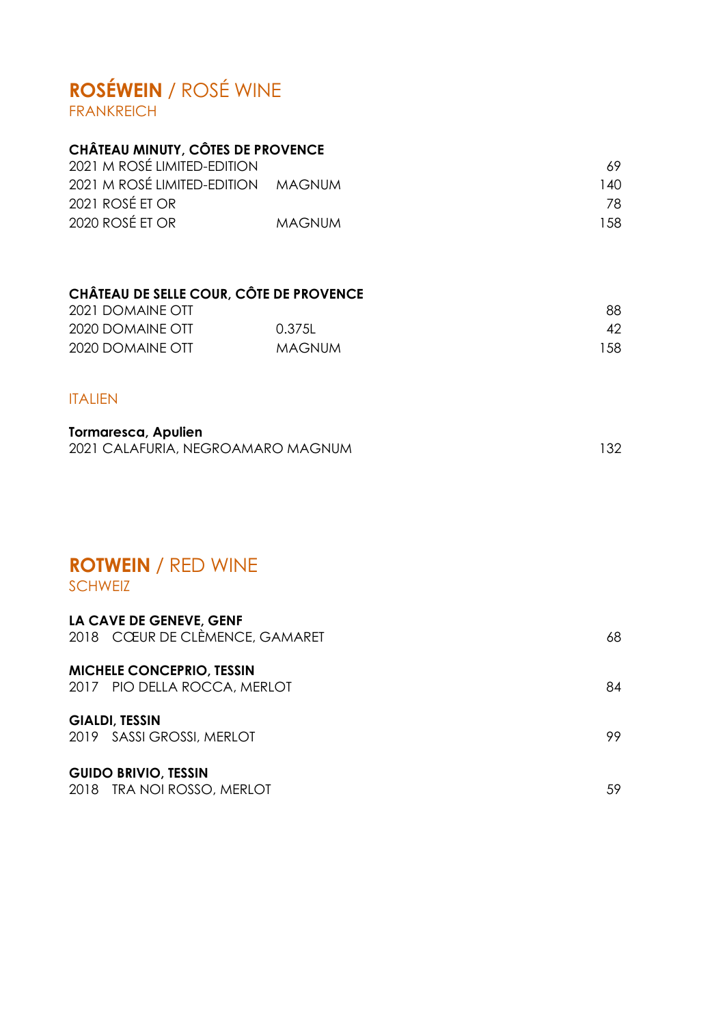## **ROSÉWEIN** / ROSÉ WINE FRANKREICH

# **CHÂTEAU MINUTY, CÔTES DE PROVENCE**

| 2021 M ROSÉ LIMITED-EDITION        |        | 69.  |
|------------------------------------|--------|------|
| 2021 M ROSÉ LIMITED-EDITION MAGNUM |        | 140. |
| 2021 ROSÉ ET OR                    |        | 78.  |
| 2020 ROSÉ ET OR                    | MAGNUM | 1.58 |

### **CHÂTEAU DE SELLE COUR, CÔTE DE PROVENCE**

| 2021 DOMAINE OTT |        | 88  |
|------------------|--------|-----|
| 2020 DOMAINE OTT | 0.375L |     |
| 2020 DOMAINE OTT | MAGNUM | 158 |

#### ITALIEN

| <b>Tormaresca, Apulien</b>        |  |
|-----------------------------------|--|
| 2021 CALAFURIA, NEGROAMARO MAGNUM |  |

# **ROTWEIN** / RED WINE

### SCHWEIZ

| LA CAVE DE GENEVE, GENF<br>2018 CCEUR DE CLÉMENCE, GAMARET       | 68  |
|------------------------------------------------------------------|-----|
| <b>MICHELE CONCEPRIO, TESSIN</b><br>2017 PIO DELLA ROCCA, MERLOT | 84  |
| <b>GIALDI, TESSIN</b><br>2019 SASSI GROSSI, MERLOT               | 99. |
| <b>GUIDO BRIVIO, TESSIN</b><br>2018 TRA NOI ROSSO, MERLOT        | 59  |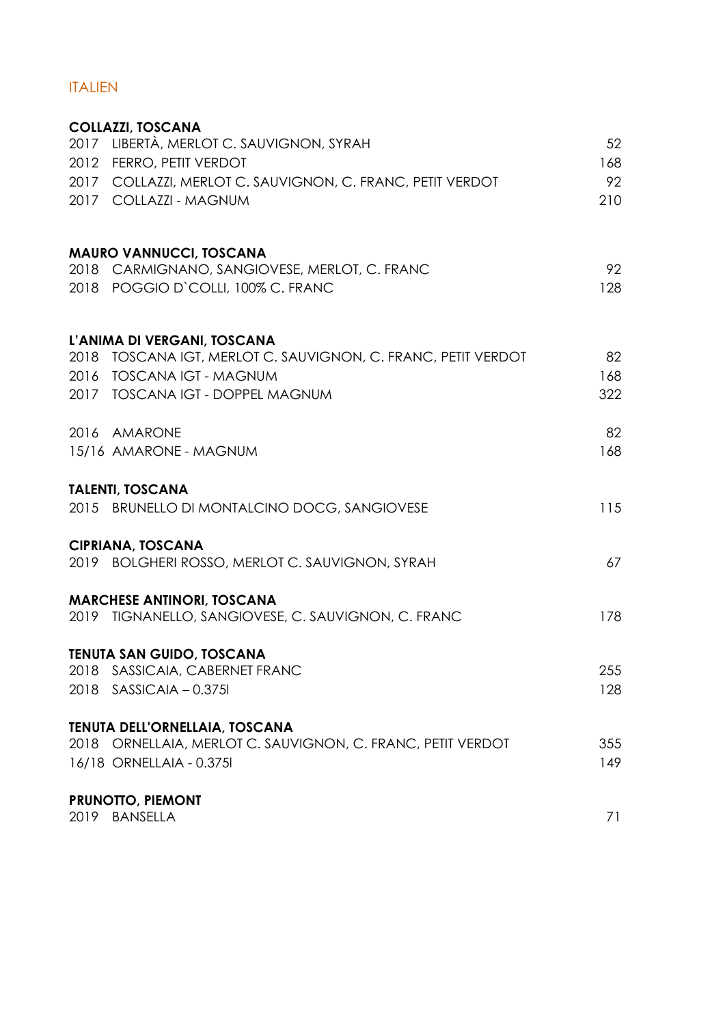### ITALIEN

|      | <b>COLLAZZI, TOSCANA</b>                                      |     |
|------|---------------------------------------------------------------|-----|
|      | 2017 LIBERTÀ, MERLOT C. SAUVIGNON, SYRAH                      | 52  |
|      | 2012 FERRO, PETIT VERDOT                                      | 168 |
|      | 2017 COLLAZZI, MERLOT C. SAUVIGNON, C. FRANC, PETIT VERDOT    | 92  |
|      | 2017 COLLAZZI - MAGNUM                                        | 210 |
|      | <b>MAURO VANNUCCI, TOSCANA</b>                                |     |
|      | 2018 CARMIGNANO, SANGIOVESE, MERLOT, C. FRANC                 | 92  |
|      | 2018 POGGIO D'COLLI, 100% C. FRANC                            | 128 |
|      | L'ANIMA DI VERGANI, TOSCANA                                   |     |
|      | 2018 TOSCANA IGT, MERLOT C. SAUVIGNON, C. FRANC, PETIT VERDOT | 82  |
|      | 2016 TOSCANA IGT - MAGNUM                                     | 168 |
|      | 2017 TOSCANA IGT - DOPPEL MAGNUM                              | 322 |
|      | 2016 AMARONE                                                  | 82  |
|      | 15/16 AMARONE - MAGNUM                                        | 168 |
|      | <b>TALENTI, TOSCANA</b>                                       |     |
|      | 2015 BRUNELLO DI MONTALCINO DOCG, SANGIOVESE                  | 115 |
|      | <b>CIPRIANA, TOSCANA</b>                                      |     |
|      | 2019 BOLGHERI ROSSO, MERLOT C. SAUVIGNON, SYRAH               | 67  |
|      | <b>MARCHESE ANTINORI, TOSCANA</b>                             |     |
|      | 2019 TIGNANELLO, SANGIOVESE, C. SAUVIGNON, C. FRANC           | 178 |
|      | <b>TENUTA SAN GUIDO, TOSCANA</b>                              |     |
| 2018 | SASSICAIA, CABERNET FRANC                                     | 255 |
|      | 2018 SASSICAIA - 0.3751                                       | 128 |
|      | TENUTA DELL'ORNELLAIA, TOSCANA                                |     |
|      | 2018 ORNELLAIA, MERLOT C. SAUVIGNON, C. FRANC, PETIT VERDOT   | 355 |
|      | 16/18 ORNELLAIA - 0.3751                                      | 149 |
|      | <b>PRUNOTTO, PIEMONT</b>                                      |     |
|      | 2019 BANSELLA                                                 | 71  |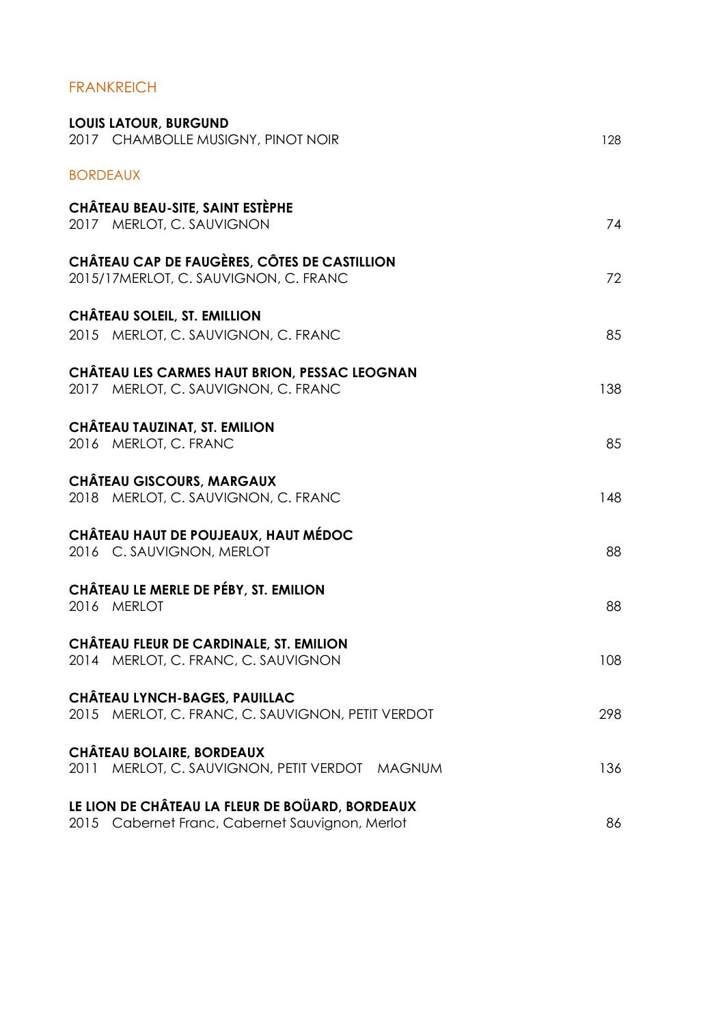#### FRANKREICH

| <b>LOUIS LATOUR, BURGUND</b><br>2017 CHAMBOLLE MUSIGNY, PINOT NOIR                                    | 128 |
|-------------------------------------------------------------------------------------------------------|-----|
| <b>BORDEAUX</b>                                                                                       |     |
| CHÂTEAU BEAU-SITE, SAINT ESTÈPHE<br>2017 MERLOT, C. SAUVIGNON                                         | 74  |
| CHÂTEAU CAP DE FAUGÈRES, CÔTES DE CASTILLION<br>2015/17MERLOT, C. SAUVIGNON, C. FRANC                 | 72  |
| CHÂTEAU SOLEIL, ST. EMILLION                                                                          |     |
| 2015 MERLOT, C. SAUVIGNON, C. FRANC                                                                   | 85  |
| CHÂTEAU LES CARMES HAUT BRION, PESSAC LEOGNAN<br>2017 MERLOT, C. SAUVIGNON, C. FRANC                  | 138 |
| CHÂTEAU TAUZINAT, ST. EMILION<br>2016 MERLOT, C. FRANC                                                | 85  |
| <b>CHÂTEAU GISCOURS, MARGAUX</b><br>2018 MERLOT, C. SAUVIGNON, C. FRANC                               | 148 |
| CHÂTEAU HAUT DE POUJEAUX, HAUT MÉDOC<br>2016 C. SAUVIGNON, MERLOT                                     | 88  |
| CHÂTEAU LE MERLE DE PÉBY, ST. EMILION<br>2016 MERLOT                                                  | 88  |
| CHÂTEAU FLEUR DE CARDINALE, ST. EMILION<br>2014 MERLOT, C. FRANC, C. SAUVIGNON                        | 108 |
| CHÂTEAU LYNCH-BAGES, PAUILLAC<br>2015 MERLOT, C. FRANC, C. SAUVIGNON, PETIT VERDOT                    | 298 |
| <b>CHÂTEAU BOLAIRE, BORDEAUX</b><br>2011 MERLOT, C. SAUVIGNON, PETIT VERDOT MAGNUM                    | 136 |
| LE LION DE CHÂTEAU LA FLEUR DE BOÜARD, BORDEAUX<br>2015<br>Cabernet Franc, Cabernet Sauvignon, Merlot | 86  |